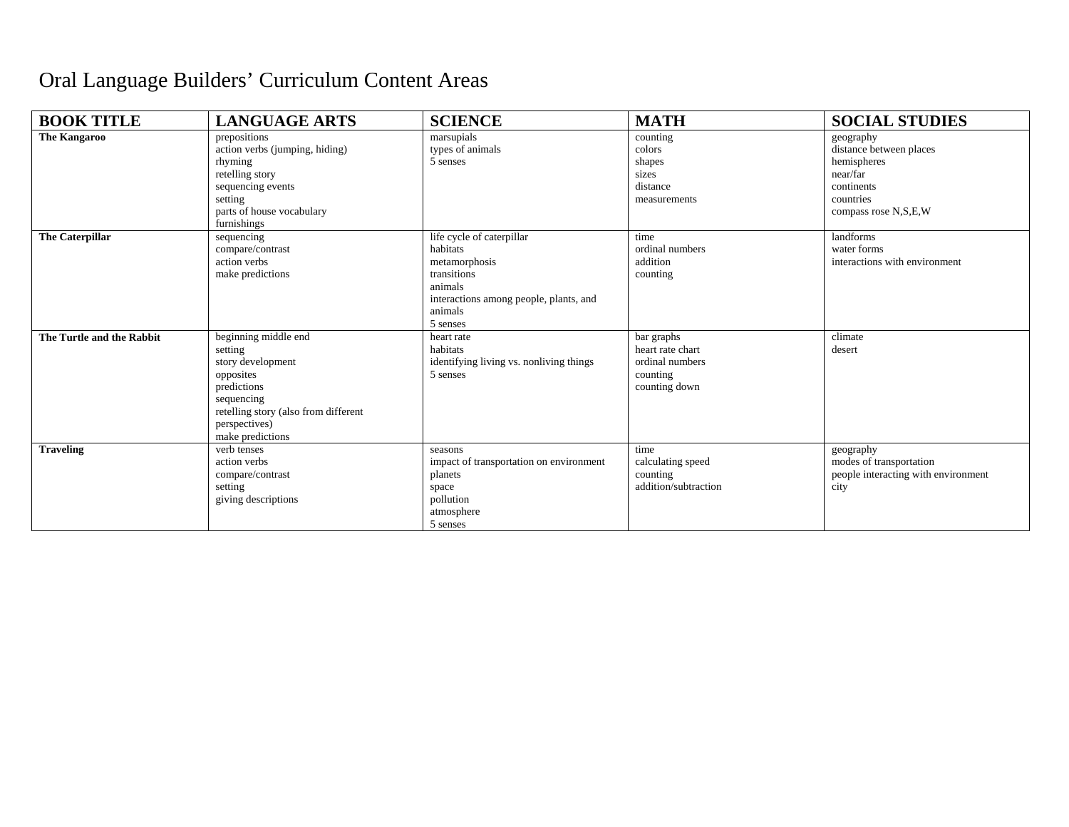## Oral Language Builders' Curriculum Content Areas

| <b>BOOK TITLE</b>         | <b>LANGUAGE ARTS</b>                                                                                                                                                        | <b>SCIENCE</b>                                                                                                                                    | <b>MATH</b>                                                                    | <b>SOCIAL STUDIES</b>                                                                                              |
|---------------------------|-----------------------------------------------------------------------------------------------------------------------------------------------------------------------------|---------------------------------------------------------------------------------------------------------------------------------------------------|--------------------------------------------------------------------------------|--------------------------------------------------------------------------------------------------------------------|
| <b>The Kangaroo</b>       | prepositions<br>action verbs (jumping, hiding)<br>rhyming<br>retelling story<br>sequencing events<br>setting<br>parts of house vocabulary<br>furnishings                    | marsupials<br>types of animals<br>5 senses                                                                                                        | counting<br>colors<br>shapes<br>sizes<br>distance<br>measurements              | geography<br>distance between places<br>hemispheres<br>near/far<br>continents<br>countries<br>compass rose N,S,E,W |
| <b>The Caterpillar</b>    | sequencing<br>compare/contrast<br>action verbs<br>make predictions                                                                                                          | life cycle of caterpillar<br>habitats<br>metamorphosis<br>transitions<br>animals<br>interactions among people, plants, and<br>animals<br>5 senses | time<br>ordinal numbers<br>addition<br>counting                                | landforms<br>water forms<br>interactions with environment                                                          |
| The Turtle and the Rabbit | beginning middle end<br>setting<br>story development<br>opposites<br>predictions<br>sequencing<br>retelling story (also from different<br>perspectives)<br>make predictions | heart rate<br>habitats<br>identifying living vs. nonliving things<br>5 senses                                                                     | bar graphs<br>heart rate chart<br>ordinal numbers<br>counting<br>counting down | climate<br>desert                                                                                                  |
| <b>Traveling</b>          | verb tenses<br>action verbs<br>compare/contrast<br>setting<br>giving descriptions                                                                                           | seasons<br>impact of transportation on environment<br>planets<br>space<br>pollution<br>atmosphere<br>5 senses                                     | time<br>calculating speed<br>counting<br>addition/subtraction                  | geography<br>modes of transportation<br>people interacting with environment<br>city                                |